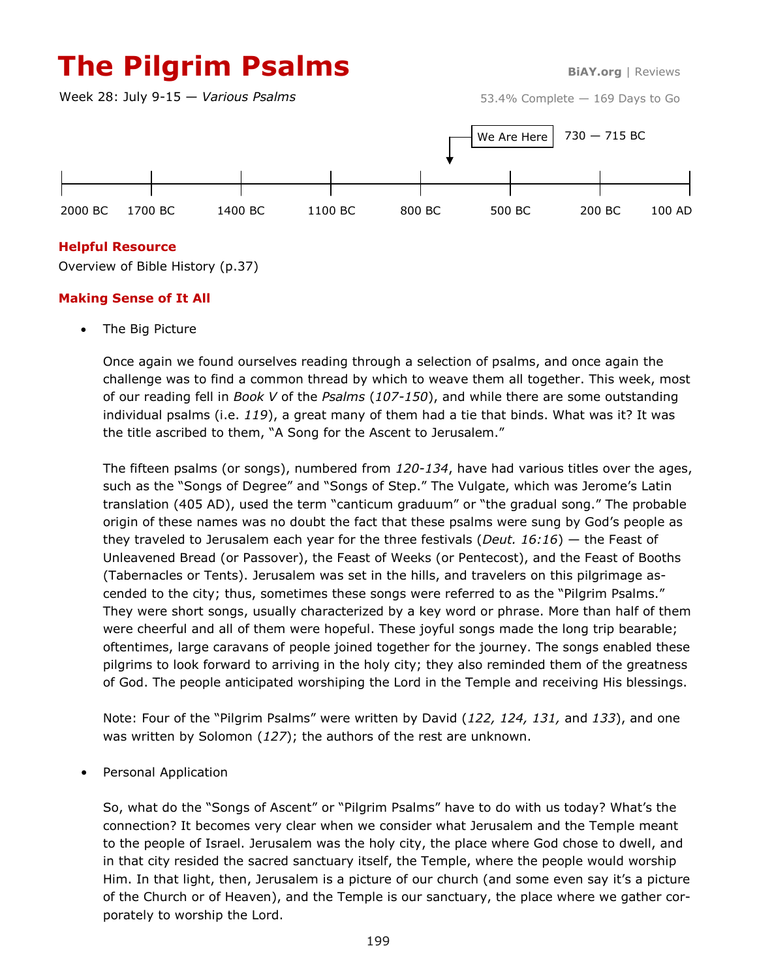# **The Pilgrim Psalms BiAY.org** | Reviews

Week 28: July 9-15 — *Various Psalms*

53.4% Complete — 169 Days to Go



### **Helpful Resource**

Overview of Bible History (p.37)

### **Making Sense of It All**

The Big Picture

Once again we found ourselves reading through a selection of psalms, and once again the challenge was to find a common thread by which to weave them all together. This week, most of our reading fell in *Book V* of the *Psalms* (*107-150*), and while there are some outstanding individual psalms (i.e. *119*), a great many of them had a tie that binds. What was it? It was the title ascribed to them, "A Song for the Ascent to Jerusalem."

The fifteen psalms (or songs), numbered from *120-134*, have had various titles over the ages, such as the "Songs of Degree" and "Songs of Step." The Vulgate, which was Jerome's Latin translation (405 AD), used the term "canticum graduum" or "the gradual song." The probable origin of these names was no doubt the fact that these psalms were sung by God's people as they traveled to Jerusalem each year for the three festivals (*Deut. 16:16*) — the Feast of Unleavened Bread (or Passover), the Feast of Weeks (or Pentecost), and the Feast of Booths (Tabernacles or Tents). Jerusalem was set in the hills, and travelers on this pilgrimage ascended to the city; thus, sometimes these songs were referred to as the "Pilgrim Psalms." They were short songs, usually characterized by a key word or phrase. More than half of them were cheerful and all of them were hopeful. These joyful songs made the long trip bearable; oftentimes, large caravans of people joined together for the journey. The songs enabled these pilgrims to look forward to arriving in the holy city; they also reminded them of the greatness of God. The people anticipated worshiping the Lord in the Temple and receiving His blessings.

Note: Four of the "Pilgrim Psalms" were written by David (*122, 124, 131,* and *133*), and one was written by Solomon (*127*); the authors of the rest are unknown.

• Personal Application

So, what do the "Songs of Ascent" or "Pilgrim Psalms" have to do with us today? What's the connection? It becomes very clear when we consider what Jerusalem and the Temple meant to the people of Israel. Jerusalem was the holy city, the place where God chose to dwell, and in that city resided the sacred sanctuary itself, the Temple, where the people would worship Him. In that light, then, Jerusalem is a picture of our church (and some even say it's a picture of the Church or of Heaven), and the Temple is our sanctuary, the place where we gather corporately to worship the Lord.